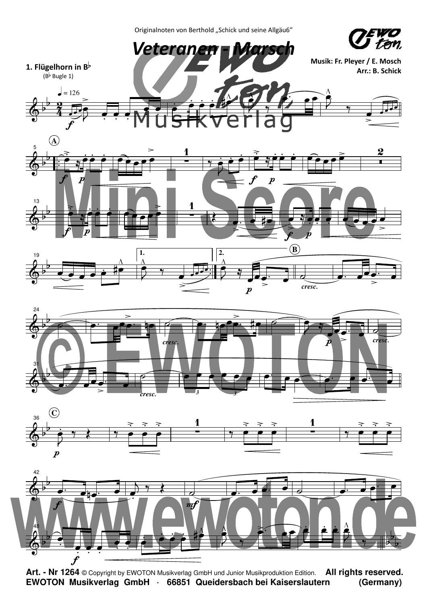Originalnoten von Berthold "Schick und seine Allgäu6"



 $\boldsymbol{f}$ **Art. - Nr 1264** © Copyright by EWOTON Musikverlag GmbH und Junior Musikproduktion Edition. **All rights reserved. EWOTON Musikverlag GmbH · 66851 Queidersbach bei Kaiserslautern (Germany)**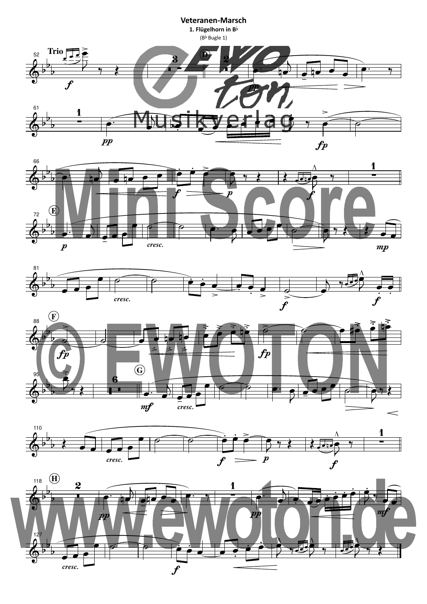









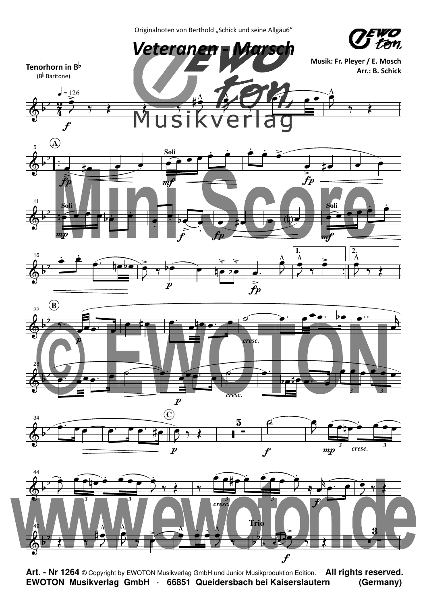Originalnoten von Berthold "Schick und seine Allgäu6"





**Art. - Nr 1264** © Copyright by EWOTON Musikverlag GmbH und Junior Musikproduktion Edition. **All rights reserved. EWOTON Musikverlag GmbH · 66851 Queidersbach bei Kaiserslautern (Germany)**